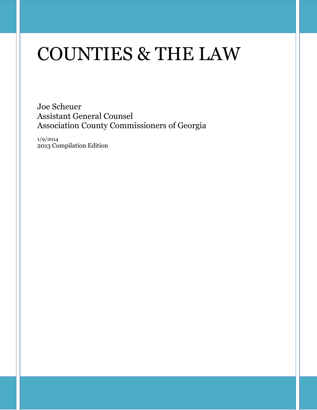# COUNTIES & THE LAW

Joe Scheuer Assistant General Counsel Association County Commissioners of Georgia

1/9/2014 2013 Compilation Edition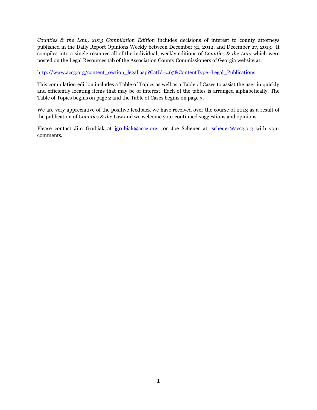*Counties & the Law, 2013 Compilation Edition* includes decisions of interest to county attorneys published in the Daily Report Opinions Weekly between December 31, 2012, and December 27, 2013. It compiles into a single resource all of the individual, weekly editions of *Counties & the Law* which were posted on the Legal Resources tab of the Association County Commissioners of Georgia website at:

[http://www.accg.org/content\\_section\\_legal.asp?CatId=463&ContentType=Legal\\_Publications](http://www.accg.org/content_section_legal.asp?CatId=463&ContentType=Legal_Publications)

This compilation edition includes a Table of Topics as well as a Table of Cases to assist the user in quickly and efficiently locating items that may be of interest. Each of the tables is arranged alphabetically. The Table of Topics begins on page 2 and the Table of Cases begins on page 3.

We are very appreciative of the positive feedback we have received over the course of 2013 as a result of the publication of *Counties & the* Law and we welcome your continued suggestions and opinions.

Please contact Jim Grubiak at <u>[jgrubiak@accg.org](mailto:jgrubiak@accg.org)</u> or Joe Scheuer at [jscheuer@accg.org](mailto:jscheuer@accg.org) with your comments.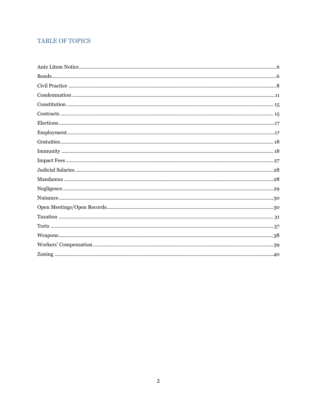### **TABLE OF TOPICS**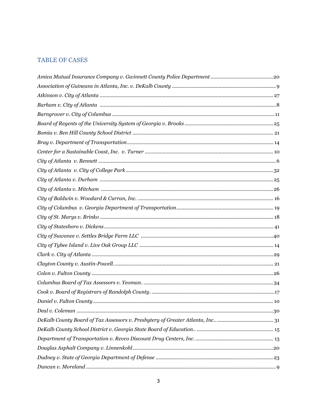#### **TABLE OF CASES**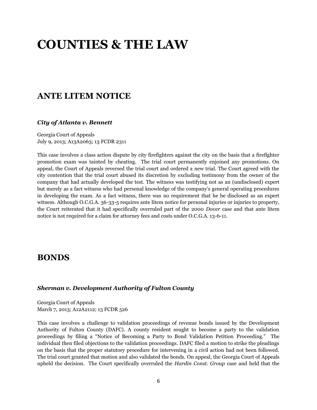# **COUNTIES & THE LAW**

### **ANTE LITEM NOTICE**

#### *City of Atlanta v. Bennett*

Georgia Court of Appeals July 9, 2013; A13A2063; 13 FCDR 2311

This case involves a class action dispute by city firefighters against the city on the basis that a firefighter promotion exam was tainted by cheating. The trial court permanently enjoined any promotions. On appeal, the Court of Appeals reversed the trial court and ordered a new trial. The Court agreed with the city contention that the trial court abused its discretion by excluding testimony from the owner of the company that had actually developed the test. The witness was testifying not as an (undisclosed) expert but merely as a fact witness who had personal knowledge of the company's general operating procedures in developing the exam. As a fact witness, there was no requirement that he be disclosed as an expert witness. Although O.C.G.A. 36-33-5 requires ante litem notice for personal injuries or injuries to property, the Court reiterated that it had specifically overruled part of the 2000 *Dover* case and that ante litem notice is not required for a claim for attorney fees and costs under O.C.G.A. 13-6-11.

### **BONDS**

#### *Sherman v. Development Authority of Fulton County*

Georgia Court of Appeals March 7, 2013; A12A2112; 13 FCDR 526

This case involves a challenge to validation proceedings of revenue bonds issued by the Development Authority of Fulton County (DAFC). A county resident sought to become a party to the validation proceedings by filing a "Notice of Becoming a Party to Bond Validation Petition Proceeding." The individual then filed objections to the validation proceedings. DAFC filed a motion to strike the pleadings on the basis that the proper statutory procedure for intervening in a civil action had not been followed. The trial court granted that motion and also validated the bonds. On appeal, the Georgia Court of Appeals upheld the decision. The Court specifically overruled the *Hardin Const. Group* case and held that the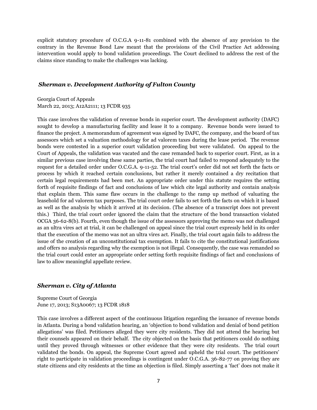explicit statutory procedure of O.C.G.A 9-11-81 combined with the absence of any provision to the contrary in the Revenue Bond Law meant that the provisions of the Civil Practice Act addressing intervention would apply to bond validation proceedings. The Court declined to address the rest of the claims since standing to make the challenges was lacking.

#### *Sherman v. Development Authority of Fulton County*

Georgia Court of Appeals March 22, 2013; A12A2111; 13 FCDR 935

This case involves the validation of revenue bonds in superior court. The development authority (DAFC) sought to develop a manufacturing facility and lease it to a company. Revenue bonds were issued to finance the project. A memorandum of agreement was signed by DAFC, the company, and the board of tax assessors which set a valuation methodology for ad valorem taxes during the lease period. The revenue bonds were contested in a superior court validation proceeding but were validated. On appeal to the Court of Appeals, the validation was vacated and the case remanded back to superior court. First, as in a similar previous case involving these same parties, the trial court had failed to respond adequately to the request for a detailed order under O.C.G.A. 9-11-52. The trial court's order did not set forth the facts or process by which it reached certain conclusions, but rather it merely contained a dry recitation that certain legal requirements had been met. An appropriate order under this statute requires the setting forth of requisite findings of fact and conclusions of law which cite legal authority and contain analysis that explain them. This same flaw occurs in the challenge to the ramp up method of valuating the leasehold for ad valorem tax purposes. The trial court order fails to set forth the facts on which it is based as well as the analysis by which it arrived at its decision. (The absence of a transcript does not prevent this.) Third, the trial court order ignored the claim that the structure of the bond transaction violated OCGA 36-62-8(b). Fourth, even though the issue of the assessors approving the memo was not challenged as an ultra vires act at trial, it can be challenged on appeal since the trial court expressly held in its order that the execution of the memo was not an ultra vires act. Finally, the trial court again fails to address the issue of the creation of an unconstitutional tax exemption. It fails to cite the constitutional justifications and offers no analysis regarding why the exemption is not illegal. Consequently, the case was remanded so the trial court could enter an appropriate order setting forth requisite findings of fact and conclusions of law to allow meaningful appellate review.

#### *Sherman v. City of Atlanta*

Supreme Court of Georgia June 17, 2013; S13A0067; 13 FCDR 1818

This case involves a different aspect of the continuous litigation regarding the issuance of revenue bonds in Atlanta. During a bond validation hearing, an 'objection to bond validation and denial of bond petition allegations' was filed. Petitioners alleged they were city residents. They did not attend the hearing but their counsels appeared on their behalf. The city objected on the basis that petitioners could do nothing until they proved through witnesses or other evidence that they were city residents. The trial court validated the bonds. On appeal, the Supreme Court agreed and upheld the trial court. The petitioners' right to participate in validation proceedings is contingent under O.C.G.A. 36-82-77 on proving they are state citizens and city residents at the time an objection is filed. Simply asserting a 'fact' does not make it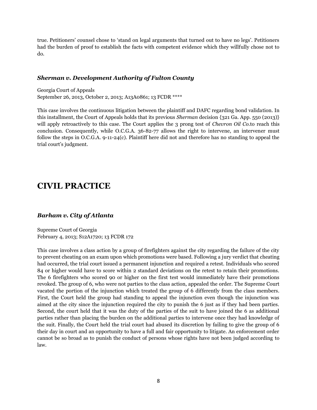true. Petitioners' counsel chose to 'stand on legal arguments that turned out to have no legs'. Petitioners had the burden of proof to establish the facts with competent evidence which they willfully chose not to do.

#### *Sherman v. Development Authority of Fulton County*

Georgia Court of Appeals September 26, 2013, October 2, 2013; A13A0861; 13 FCDR \*\*\*\*

This case involves the continuous litigation between the plaintiff and DAFC regarding bond validation. In this installment, the Court of Appeals holds that its previous *Sherman* decision {321 Ga. App. 550 (2013)} will apply retroactively to this case. The Court applies the 3 prong test of *Chevron Oil Co.*to reach this conclusion. Consequently, while O.C.G.A. 36-82-77 allows the right to intervene, an intervener must follow the steps in O.C.G.A. 9-11-24(c). Plaintiff here did not and therefore has no standing to appeal the trial court's judgment.

# **CIVIL PRACTICE**

#### *Barham v. City of Atlanta*

Supreme Court of Georgia February 4, 2013; S12A1720; 13 FCDR 172

This case involves a class action by a group of firefighters against the city regarding the failure of the city to prevent cheating on an exam upon which promotions were based. Following a jury verdict that cheating had occurred, the trial court issued a permanent injunction and required a retest. Individuals who scored 84 or higher would have to score within 2 standard deviations on the retest to retain their promotions. The 6 firefighters who scored 90 or higher on the first test would immediately have their promotions revoked. The group of 6, who were not parties to the class action, appealed the order. The Supreme Court vacated the portion of the injunction which treated the group of 6 differently from the class members. First, the Court held the group had standing to appeal the injunction even though the injunction was aimed at the city since the injunction required the city to punish the 6 just as if they had been parties. Second, the court held that it was the duty of the parties of the suit to have joined the 6 as additional parties rather than placing the burden on the additional parties to intervene once they had knowledge of the suit. Finally, the Court held the trial court had abused its discretion by failing to give the group of 6 their day in court and an opportunity to have a full and fair opportunity to litigate. An enforcement order cannot be so broad as to punish the conduct of persons whose rights have not been judged according to law.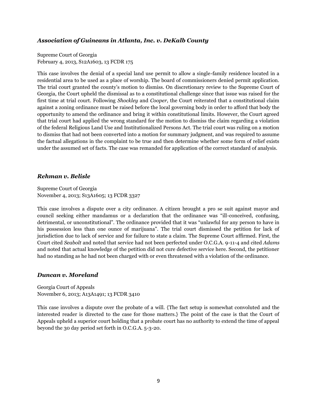#### *Association of Guineans in Atlanta, Inc. v. DeKalb County*

Supreme Court of Georgia February 4, 2013, S12A1603, 13 FCDR 175

This case involves the denial of a special land use permit to allow a single-family residence located in a residential area to be used as a place of worship. The board of commissioners denied permit application. The trial court granted the county's motion to dismiss. On discretionary review to the Supreme Court of Georgia, the Court upheld the dismissal as to a constitutional challenge since that issue was raised for the first time at trial court. Following *Shockley* and *Cooper,* the Court reiterated that a constitutional claim against a zoning ordinance must be raised before the local governing body in order to afford that body the opportunity to amend the ordinance and bring it within constitutional limits. However, the Court agreed that trial court had applied the wrong standard for the motion to dismiss the claim regarding a violation of the federal Religious Land Use and Institutionalized Persons Act. The trial court was ruling on a motion to dismiss that had not been converted into a motion for summary judgment, and was required to assume the factual allegations in the complaint to be true and then determine whether some form of relief exists under the assumed set of facts. The case was remanded for application of the correct standard of analysis.

#### *Rehman v. Belisle*

Supreme Court of Georgia November 4, 2013; S13A1605; 13 FCDR 3327

This case involves a dispute over a city ordinance. A citizen brought a pro se suit against mayor and council seeking either mandamus or a declaration that the ordinance was "ill-conceived, confusing, detrimental, or unconstitutional". The ordinance provided that it was "unlawful for any person to have in his possession less than one ounce of marijuana". The trial court dismissed the petition for lack of jurisdiction due to lack of service and for failure to state a claim. The Supreme Court affirmed. First, the Court cited *Seabolt* and noted that service had not been perfected under O.C.G.A. 9-11-4 and cited *Adams* and noted that actual knowledge of the petition did not cure defective service here. Second, the petitioner had no standing as he had not been charged with or even threatened with a violation of the ordinance.

#### *Duncan v. Moreland*

Georgia Court of Appeals November 6, 2013; A13A1491; 13 FCDR 3410

This case involves a dispute over the probate of a will. {The fact setup is somewhat convoluted and the interested reader is directed to the case for those matters.} The point of the case is that the Court of Appeals upheld a superior court holding that a probate court has no authority to extend the time of appeal beyond the 30 day period set forth in O.C.G.A. 5-3-20.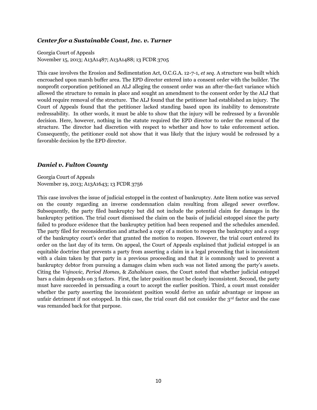#### *Center for a Sustainable Coast, Inc. v. Turner*

Georgia Court of Appeals November 15, 2013; A13A1487; A13A1488; 13 FCDR 3705

This case involves the Erosion and Sedimentation Act, O.C.G.A. 12-7-1, *et seq*. A structure was built which encroached upon marsh buffer area. The EPD director entered into a consent order with the builder. The nonprofit corporation petitioned an ALJ alleging the consent order was an after-the-fact variance which allowed the structure to remain in place and sought an amendment to the consent order by the ALJ that would require removal of the structure. The ALJ found that the petitioner had established an injury. The Court of Appeals found that the petitioner lacked standing based upon its inability to demonstrate redressability. In other words, it must be able to show that the injury will be redressed by a favorable decision. Here, however, nothing in the statute required the EPD director to order the removal of the structure. The director had discretion with respect to whether and how to take enforcement action. Consequently, the petitioner could not show that it was likely that the injury would be redressed by a favorable decision by the EPD director.

#### *Daniel v. Fulton County*

Georgia Court of Appeals November 19, 2013; A13A1643; 13 FCDR 3756

This case involves the issue of judicial estoppel in the context of bankruptcy. Ante litem notice was served on the county regarding an inverse condemnation claim resulting from alleged sewer overflow. Subsequently, the party filed bankruptcy but did not include the potential claim for damages in the bankruptcy petition. The trial court dismissed the claim on the basis of judicial estoppel since the party failed to produce evidence that the bankruptcy petition had been reopened and the schedules amended. The party filed for reconsideration and attached a copy of a motion to reopen the bankruptcy and a copy of the bankruptcy court's order that granted the motion to reopen. However, the trial court entered its order on the last day of its term. On appeal, the Court of Appeals explained that judicial estoppel is an equitable doctrine that prevents a party from asserting a claim in a legal proceeding that is inconsistent with a claim taken by that party in a previous proceeding and that it is commonly used to prevent a bankruptcy debtor from pursuing a damages claim when such was not listed among the party's assets. Citing the *Vojnovic, Period Homes*, & *Zahabiuon* cases, the Court noted that whether judicial estoppel bars a claim depends on 3 factors. First, the later position must be clearly inconsistent. Second, the party must have succeeded in persuading a court to accept the earlier position. Third, a court must consider whether the party asserting the inconsistent position would derive an unfair advantage or impose an unfair detriment if not estopped. In this case, the trial court did not consider the 3<sup>rd</sup> factor and the case was remanded back for that purpose.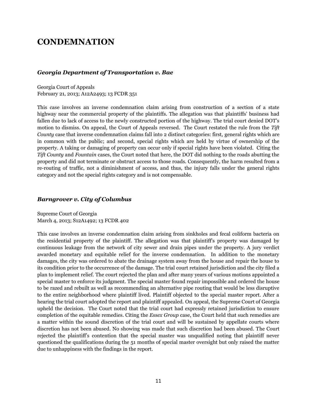# **CONDEMNATION**

#### *Georgia Department of Transportation v. Bae*

Georgia Court of Appeals February 21, 2013; A12A2493; 13 FCDR 351

This case involves an inverse condemnation claim arising from construction of a section of a state highway near the commercial property of the plaintiffs. The allegation was that plaintiffs' business had fallen due to lack of access to the newly constructed portion of the highway. The trial court denied DOT's motion to dismiss. On appeal, the Court of Appeals reversed. The Court restated the rule from the *Tift County* case that inverse condemnation claims fall into 2 distinct categories: first, general rights which are in common with the public; and second, special rights which are held by virtue of ownership of the property. A taking or damaging of property can occur only if special rights have been violated. Citing the *Tift County* and *Fountain* cases, the Court noted that here, the DOT did nothing to the roads abutting the property and did not terminate or obstruct access to those roads. Consequently, the harm resulted from a re-routing of traffic, not a diminishment of access, and thus, the injury falls under the general rights category and not the special rights category and is not compensable.

#### *Barngrover v. City of Columbus*

Supreme Court of Georgia March 4, 2013; S12A1492; 13 FCDR 402

This case involves an inverse condemnation claim arising from sinkholes and fecal coliform bacteria on the residential property of the plaintiff. The allegation was that plaintiff's property was damaged by continuous leakage from the network of city sewer and drain pipes under the property. A jury verdict awarded monetary and equitable relief for the inverse condemnation. In addition to the monetary damages, the city was ordered to abate the drainage system away from the house and repair the house to its condition prior to the occurrence of the damage. The trial court retained jurisdiction and the city filed a plan to implement relief. The court rejected the plan and after many years of various motions appointed a special master to enforce its judgment. The special master found repair impossible and ordered the house to be razed and rebuilt as well as recommending an alternative pipe routing that would be less disruptive to the entire neighborhood where plaintiff lived. Plaintiff objected to the special master report. After a hearing the trial court adopted the report and plaintiff appealed. On appeal, the Supreme Court of Georgia upheld the decision. The Court noted that the trial court had expressly retained jurisdiction to ensure completion of the equitable remedies. Citing the *Essex Group* case, the Court held that such remedies are a matter within the sound discretion of the trial court and will be sustained by appellate courts where discretion has not been abused. No showing was made that such discretion had been abused. The Court rejected the plaintiff's contention that the special master was unqualified noting that plaintiff never questioned the qualifications during the 51 months of special master oversight but only raised the matter due to unhappiness with the findings in the report.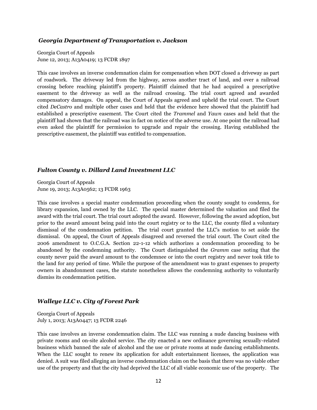#### *Georgia Department of Transportation v. Jackson*

Georgia Court of Appeals June 12, 2013; A13A0419; 13 FCDR 1897

This case involves an inverse condemnation claim for compensation when DOT closed a driveway as part of roadwork. The driveway led from the highway, across another tract of land, and over a railroad crossing before reaching plaintiff's property. Plaintiff claimed that he had acquired a prescriptive easement to the driveway as well as the railroad crossing. The trial court agreed and awarded compensatory damages. On appeal, the Court of Appeals agreed and upheld the trial court. The Court cited *DeCastro* and multiple other cases and held that the evidence here showed that the plaintiff had established a prescriptive easement. The Court cited the *Trammel* and *Yawn* cases and held that the plaintiff had shown that the railroad was in fact on notice of the adverse use. At one point the railroad had even asked the plaintiff for permission to upgrade and repair the crossing. Having established the prescriptive easement, the plaintiff was entitled to compensation.

#### *Fulton County v. Dillard Land Investment LLC*

Georgia Court of Appeals June 19, 2013; A13A0562; 13 FCDR 1963

This case involves a special master condemnation proceeding when the county sought to condemn, for library expansion, land owned by the LLC. The special master determined the valuation and filed the award with the trial court. The trial court adopted the award. However, following the award adoption, but prior to the award amount being paid into the court registry or to the LLC, the county filed a voluntary dismissal of the condemnation petition. The trial court granted the LLC's motion to set aside the dismissal. On appeal, the Court of Appeals disagreed and reversed the trial court. The Court cited the 2006 amendment to O.C.G.A. Section 22-1-12 which authorizes a condemnation proceeding to be abandoned by the condemning authority. The Court distinguished the *Gramm* case noting that the county never paid the award amount to the condemnee or into the court registry and never took title to the land for any period of time. While the purpose of the amendment was to grant expenses to property owners in abandonment cases, the statute nonetheless allows the condemning authority to voluntarily dismiss its condemnation petition.

#### *Walleye LLC v. City of Forest Park*

Georgia Court of Appeals July 1, 2013; A13A0447; 13 FCDR 2246

This case involves an inverse condemnation claim. The LLC was running a nude dancing business with private rooms and on-site alcohol service. The city enacted a new ordinance governing sexually-related business which banned the sale of alcohol and the use or private rooms at nude dancing establishments. When the LLC sought to renew its application for adult entertainment licenses, the application was denied. A suit was filed alleging an inverse condemnation claim on the basis that there was no viable other use of the property and that the city had deprived the LLC of all viable economic use of the property. The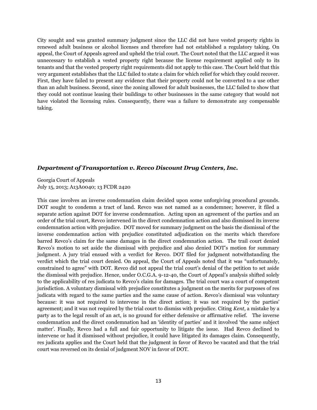City sought and was granted summary judgment since the LLC did not have vested property rights in renewed adult business or alcohol licenses and therefore had not established a regulatory taking. On appeal, the Court of Appeals agreed and upheld the trial court. The Court noted that the LLC argued it was unnecessary to establish a vested property right because the license requirement applied only to its tenants and that the vested property right requirements did not apply to this case. The Court held that this very argument establishes that the LLC failed to state a claim for which relief for which they could recover. First, they have failed to present any evidence that their property could not be converted to a use other than an adult business. Second, since the zoning allowed for adult businesses, the LLC failed to show that they could not continue leasing their buildings to other businesses in the same category that would not have violated the licensing rules. Consequently, there was a failure to demonstrate any compensable taking.

#### *Department of Transportation v. Revco Discount Drug Centers, Inc.*

Georgia Court of Appeals July 15, 2013; A13A0040; 13 FCDR 2420

This case involves an inverse condemnation claim decided upon some unforgiving procedural grounds. DOT sought to condemn a tract of land. Revco was not named as a condemnee; however, it filed a separate action against DOT for inverse condemnation. Acting upon an agreement of the parties and an order of the trial court, Revco intervened in the direct condemnation action and also dismissed its inverse condemnation action with prejudice. DOT moved for summary judgment on the basis the dismissal of the inverse condemnation action with prejudice constituted adjudication on the merits which therefore barred Revco's claim for the same damages in the direct condemnation action. The trail court denied Revco's motion to set aside the dismissal with prejudice and also denied DOT's motion for summary judgment. A jury trial ensued with a verdict for Revco. DOT filed for judgment notwithstanding the verdict which the trial court denied. On appeal, the Court of Appeals noted that it was "unfortunately, constrained to agree" with DOT. Revco did not appeal the trial court's denial of the petition to set aside the dismissal with prejudice. Hence, under O.C.G.A. 9-12-40, the Court of Appeal's analysis shifted solely to the applicability of res judicata to Revco's claim for damages. The trial court was a court of competent jurisdiction. A voluntary dismissal with prejudice constitutes a judgment on the merits for purposes of res judicata with regard to the same parties and the same cause of action. Revco's dismissal was voluntary because: it was not required to intervene in the direct action; it was not required by the parties' agreement; and it was not required by the trial court to dismiss with prejudice. Citing *Kent*, a mistake by a party as to the legal result of an act, is no ground for either defensive or affirmative relief. The inverse condemnation and the direct condemnation had an 'identity of parties' and it involved 'the same subject matter'. Finally, Revco had a full and fair opportunity to litigate the issue. Had Revco declined to intervene or had it dismissed without prejudice, it could have litigated its damages claim. Consequently, res judicata applies and the Court held that the judgment in favor of Revco be vacated and that the trial court was reversed on its denial of judgment NOV in favor of DOT.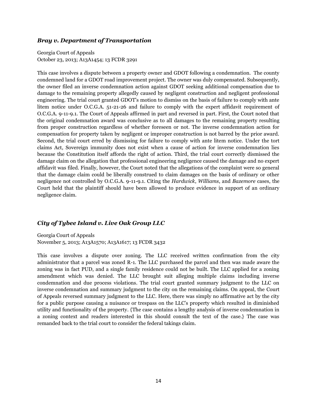#### *Bray v. Department of Transportation*

Georgia Court of Appeals October 23, 2013; A13A1454; 13 FCDR 3291

This case involves a dispute between a property owner and GDOT following a condemnation. The county condemned land for a GDOT road improvement project. The owner was duly compensated. Subsequently, the owner filed an inverse condemnation action against GDOT seeking additional compensation due to damage to the remaining property allegedly caused by negligent construction and negligent professional engineering. The trial court granted GDOT's motion to dismiss on the basis of failure to comply with ante litem notice under O.C.G.A. 51-21-26 and failure to comply with the expert affidavit requirement of O.C.G.A. 9-11-9.1. The Court of Appeals affirmed in part and reversed in part. First, the Court noted that the original condemnation award was conclusive as to all damages to the remaining property resulting from proper construction regardless of whether foreseen or not. The inverse condemnation action for compensation for property taken by negligent or improper construction is not barred by the prior award. Second, the trial court erred by dismissing for failure to comply with ante litem notice. Under the tort claims Act, Sovereign immunity does not exist when a cause of action for inverse condemnation lies because the Constitution itself affords the right of action. Third, the trial court correctly dismissed the damage claim on the allegation that professional engineering negligence caused the damage and no expert affidavit was filed. Finally, however, the Court noted that the allegations of the complaint were so general that the damage claim could be liberally construed to claim damages on the basis of ordinary or other negligence not controlled by O.C.G.A. 9-11-9.1. Citing the *Hardwick*, *Williams*, and *Bazemore* cases, the Court held that the plaintiff should have been allowed to produce evidence in support of an ordinary negligence claim.

#### *City of Tybee Island v. Live Oak Group LLC*

Georgia Court of Appeals November 5, 2013; A13A1570; A13A1617; 13 FCDR 3432

This case involves a dispute over zoning. The LLC received written confirmation from the city administrator that a parcel was zoned R-1. The LLC purchased the parcel and then was made aware the zoning was in fact PUD, and a single family residence could not be built. The LLC applied for a zoning amendment which was denied. The LLC brought suit alleging multiple claims including inverse condemnation and due process violations. The trial court granted summary judgment to the LLC on inverse condemnation and summary judgment to the city on the remaining claims. On appeal, the Court of Appeals reversed summary judgment to the LLC. Here, there was simply no affirmative act by the city for a public purpose causing a nuisance or trespass on the LLC's property which resulted in diminished utility and functionality of the property. {The case contains a lengthy analysis of inverse condemnation in a zoning context and readers interested in this should consult the text of the case.} The case was remanded back to the trial court to consider the federal takings claim.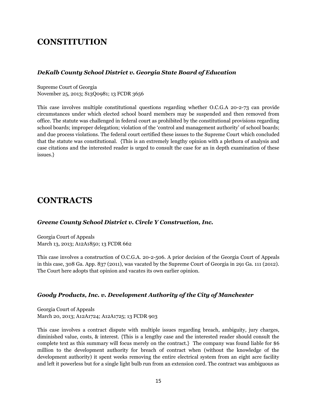# **CONSTITUTION**

#### *DeKalb County School District v. Georgia State Board of Education*

Supreme Court of Georgia November 25, 2013; S13Q0981; 13 FCDR 3656

This case involves multiple constitutional questions regarding whether O.C.G.A 20-2-73 can provide circumstances under which elected school board members may be suspended and then removed from office. The statute was challenged in federal court as prohibited by the constitutional provisions regarding school boards; improper delegation; violation of the 'control and management authority' of school boards; and due process violations. The federal court certified these issues to the Supreme Court which concluded that the statute was constitutional. {This is an extremely lengthy opinion with a plethora of analysis and case citations and the interested reader is urged to consult the case for an in depth examination of these issues.}

# **CONTRACTS**

#### *Greene County School District v. Circle Y Construction, Inc.*

Georgia Court of Appeals March 13, 2013; A12A1850; 13 FCDR 662

This case involves a construction of O.C.G.A. 20-2-506. A prior decision of the Georgia Court of Appeals in this case, 308 Ga. App. 837 (2011), was vacated by the Supreme Court of Georgia in 291 Ga. 111 (2012). The Court here adopts that opinion and vacates its own earlier opinion.

#### *Goody Products, Inc. v. Development Authority of the City of Manchester*

Georgia Court of Appeals March 20, 2013; A12A1724; A12A1725; 13 FCDR 903

This case involves a contract dispute with multiple issues regarding breach, ambiguity, jury charges, diminished value, costs, & interest. {This is a lengthy case and the interested reader should consult the complete text as this summary will focus merely on the contract.} The company was found liable for \$6 million to the development authority for breach of contract when (without the knowledge of the development authority) it spent weeks removing the entire electrical system from an eight acre facility and left it powerless but for a single light bulb run from an extension cord. The contract was ambiguous as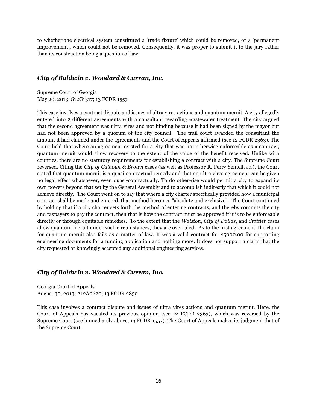to whether the electrical system constituted a 'trade fixture' which could be removed, or a 'permanent improvement', which could not be removed. Consequently, it was proper to submit it to the jury rather than its construction being a question of law.

#### *City of Baldwin v. Woodard & Curran, Inc.*

Supreme Court of Georgia May 20, 2013; S12G1317; 13 FCDR 1557

This case involves a contract dispute and issues of ultra vires actions and quantum meruit. A city allegedly entered into 2 different agreements with a consultant regarding wastewater treatment. The city argued that the second agreement was ultra vires and not binding because it had been signed by the mayor but had not been approved by a quorum of the city council. The trail court awarded the consultant the amount it had claimed under the agreements and the Court of Appeals affirmed (see 12 FCDR 2363). The Court held that where an agreement existed for a city that was not otherwise enforceable as a contract, quantum meruit would allow recovery to the extent of the value of the benefit received. Unlike with counties, there are no statutory requirements for establishing a contract with a city. The Supreme Court reversed. Citing the *City of Calhoun* & *Brown* cases (as well as Professor R. Perry Sentell, Jr.), the Court stated that quantum meruit is a quasi-contractual remedy and that an ultra vires agreement can be given no legal effect whatsoever, even quasi-contractually. To do otherwise would permit a city to expand its own powers beyond that set by the General Assembly and to accomplish indirectly that which it could not achieve directly. The Court went on to say that where a city charter specifically provided how a municipal contract shall be made and entered, that method becomes "absolute and exclusive". The Court continued by holding that if a city charter sets forth the method of entering contracts, and thereby commits the city and taxpayers to pay the contract, then that is how the contract must be approved if it is to be enforceable directly or through equitable remedies. To the extent that the *Walston*, *City of Dallas*, and *Stottler* cases allow quantum meruit under such circumstances, they are overruled. As to the first agreement, the claim for quantum meruit also fails as a matter of law. It was a valid contract for \$5000.00 for supporting engineering documents for a funding application and nothing more. It does not support a claim that the city requested or knowingly accepted any additional engineering services.

#### *City of Baldwin v. Woodard & Curran, Inc.*

Georgia Court of Appeals August 30, 2013; A12A0620; 13 FCDR 2850

This case involves a contract dispute and issues of ultra vires actions and quantum meruit. Here, the Court of Appeals has vacated its previous opinion (see 12 FCDR 2363), which was reversed by the Supreme Court (see immediately above, 13 FCDR 1557). The Court of Appeals makes its judgment that of the Supreme Court.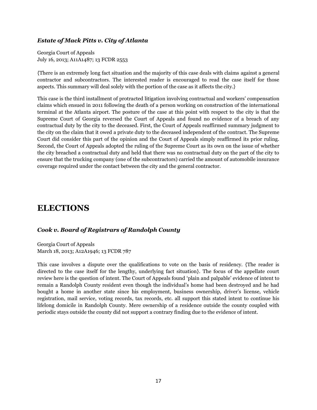#### *Estate of Mack Pitts v. City of Atlanta*

Georgia Court of Appeals July 16, 2013; A11A1487; 13 FCDR 2553

{There is an extremely long fact situation and the majority of this case deals with claims against a general contractor and subcontractors. The interested reader is encouraged to read the case itself for those aspects. This summary will deal solely with the portion of the case as it affects the city.}

This case is the third installment of protracted litigation involving contractual and workers' compensation claims which ensued in 2011 following the death of a person working on construction of the international terminal at the Atlanta airport. The posture of the case at this point with respect to the city is that the Supreme Court of Georgia reversed the Court of Appeals and found no evidence of a breach of any contractual duty by the city to the deceased. First, the Court of Appeals reaffirmed summary judgment to the city on the claim that it owed a private duty to the deceased independent of the contract. The Supreme Court did consider this part of the opinion and the Court of Appeals simply reaffirmed its prior ruling. Second, the Court of Appeals adopted the ruling of the Supreme Court as its own on the issue of whether the city breached a contractual duty and held that there was no contractual duty on the part of the city to ensure that the trucking company (one of the subcontractors) carried the amount of automobile insurance coverage required under the contact between the city and the general contractor.

# **ELECTIONS**

#### *Cook v. Board of Registrars of Randolph County*

Georgia Court of Appeals March 18, 2013; A12A1946; 13 FCDR 787

This case involves a dispute over the qualifications to vote on the basis of residency. {The reader is directed to the case itself for the lengthy, underlying fact situation}. The focus of the appellate court review here is the question of intent. The Court of Appeals found 'plain and palpable' evidence of intent to remain a Randolph County resident even though the individual's home had been destroyed and he had bought a home in another state since his employment, business ownership, driver's license, vehicle registration, mail service, voting records, tax records, etc. all support this stated intent to continue his lifelong domicile in Randolph County. Mere ownership of a residence outside the county coupled with periodic stays outside the county did not support a contrary finding due to the evidence of intent.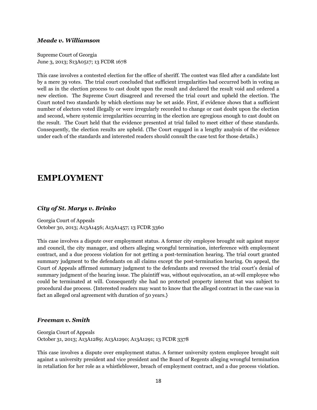#### *Meade v. Williamson*

Supreme Court of Georgia June 3, 2013; S13A0517; 13 FCDR 1678

This case involves a contested election for the office of sheriff. The contest was filed after a candidate lost by a mere 39 votes. The trial court concluded that sufficient irregularities had occurred both in voting as well as in the election process to cast doubt upon the result and declared the result void and ordered a new election. The Supreme Court disagreed and reversed the trial court and upheld the election. The Court noted two standards by which elections may be set aside. First, if evidence shows that a sufficient number of electors voted illegally or were irregularly recorded to change or cast doubt upon the election and second, where systemic irregularities occurring in the election are egregious enough to cast doubt on the result. The Court held that the evidence presented at trial failed to meet either of these standards. Consequently, the election results are upheld. (The Court engaged in a lengthy analysis of the evidence under each of the standards and interested readers should consult the case text for those details.)

### **EMPLOYMENT**

#### *City of St. Marys v. Brinko*

Georgia Court of Appeals October 30, 2013; A13A1456; A13A1457; 13 FCDR 3360

This case involves a dispute over employment status. A former city employee brought suit against mayor and council, the city manager, and others alleging wrongful termination, interference with employment contract, and a due process violation for not getting a post-termination hearing. The trial court granted summary judgment to the defendants on all claims except the post-termination hearing. On appeal, the Court of Appeals affirmed summary judgment to the defendants and reversed the trial court's denial of summary judgment of the hearing issue. The plaintiff was, without equivocation, an at-will employee who could be terminated at will. Consequently she had no protected property interest that was subject to procedural due process. {Interested readers may want to know that the alleged contract in the case was in fact an alleged oral agreement with duration of 50 years.}

#### *Freeman v. Smith*

Georgia Court of Appeals October 31, 2013; A13A1289; A13A1290; A13A1291; 13 FCDR 3378

This case involves a dispute over employment status. A former university system employee brought suit against a university president and vice president and the Board of Regents alleging wrongful termination in retaliation for her role as a whistleblower, breach of employment contract, and a due process violation.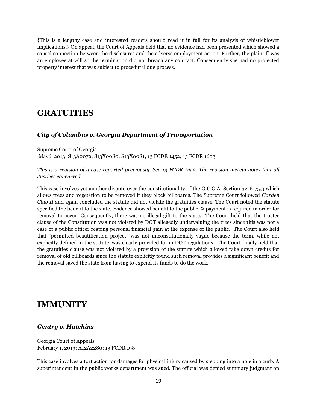{This is a lengthy case and interested readers should read it in full for its analysis of whistleblower implications.} On appeal, the Court of Appeals held that no evidence had been presented which showed a causal connection between the disclosures and the adverse employment action. Further, the plaintiff was an employee at will so the termination did not breach any contract. Consequently she had no protected property interest that was subject to procedural due process.

# **GRATUITIES**

#### *City of Columbus v. Georgia Department of Transportation*

Supreme Court of Georgia May6, 2013; S13A0079; S13X0080; S13X0081; 13 FCDR 1452; 13 FCDR 1603

*This is a revision of a case reported previously. See 13 FCDR 1452. The revision merely notes that all Justices concurred.*

This case involves yet another dispute over the constitutionality of the O.C.G.A. Section 32-6-75.3 which allows trees and vegetation to be removed if they block billboards. The Supreme Court followed *Garden Club II* and again concluded the statute did not violate the gratuities clause. The Court noted the statute specified the benefit to the state, evidence showed benefit to the public, & payment is required in order for removal to occur. Consequently, there was no illegal gift to the state. The Court held that the trustee clause of the Constitution was not violated by DOT allegedly undervaluing the trees since this was not a case of a public officer reaping personal financial gain at the expense of the public. The Court also held that "permitted beautification project" was not unconstitutionally vague because the term, while not explicitly defined in the statute, was clearly provided for in DOT regulations. The Court finally held that the gratuities clause was not violated by a provision of the statute which allowed take down credits for removal of old billboards since the statute explicitly found such removal provides a significant benefit and the removal saved the state from having to expend its funds to do the work.

### **IMMUNITY**

#### *Gentry v. Hutchins*

Georgia Court of Appeals February 1, 2013; A12A2280; 13 FCDR 198

This case involves a tort action for damages for physical injury caused by stepping into a hole in a curb. A superintendent in the public works department was sued. The official was denied summary judgment on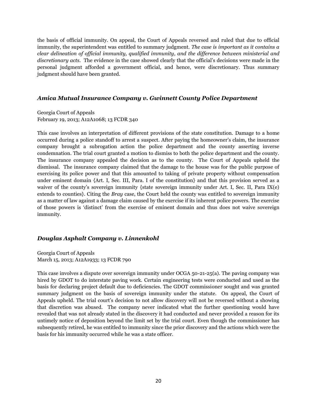the basis of official immunity. On appeal, the Court of Appeals reversed and ruled that due to official immunity, the superintendent was entitled to summary judgment. *The case is important as it contains a clear delineation of official immunity, qualified immunity, and the difference between ministerial and discretionary acts.* The evidence in the case showed clearly that the official's decisions were made in the personal judgment afforded a government official, and hence, were discretionary. Thus summary judgment should have been granted.

#### *Amica Mutual Insurance Company v. Gwinnett County Police Department*

Georgia Court of Appeals February 19, 2013; A12A1068; 13 FCDR 340

This case involves an interpretation of different provisions of the state constitution. Damage to a home occurred during a police standoff to arrest a suspect. After paying the homeowner's claim, the insurance company brought a subrogation action the police department and the county asserting inverse condemnation. The trial court granted a motion to dismiss to both the police department and the county. The insurance company appealed the decision as to the county. The Court of Appeals upheld the dismissal. The insurance company claimed that the damage to the house was for the public purpose of exercising its police power and that this amounted to taking of private property without compensation under eminent domain {Art. I, Sec. III, Para. I of the constitution} and that this provision served as a waiver of the county's sovereign immunity {state sovereign immunity under Art. I, Sec. II, Para IX(e) extends to counties}. Citing the *Bray* case, the Court held the county was entitled to sovereign immunity as a matter of law against a damage claim caused by the exercise if its inherent police powers. The exercise of those powers is 'distinct' from the exercise of eminent domain and thus does not waive sovereign immunity.

#### *Douglas Asphalt Company v. Linnenkohl*

Georgia Court of Appeals March 15, 2013; A12A1933; 13 FCDR 790

This case involves a dispute over sovereign immunity under OCGA 50-21-25(a). The paving company was hired by GDOT to do interstate paving work. Certain engineering tests were conducted and used as the basis for declaring project default due to deficiencies. The GDOT commissioner sought and was granted summary judgment on the basis of sovereign immunity under the statute. On appeal, the Court of Appeals upheld. The trial court's decision to not allow discovery will not be reversed without a showing that discretion was abused. The company never indicated what the further questioning would have revealed that was not already stated in the discovery it had conducted and never provided a reason for its untimely notice of deposition beyond the limit set by the trial court. Even though the commissioner has subsequently retired, he was entitled to immunity since the prior discovery and the actions which were the basis for his immunity occurred while he was a state officer.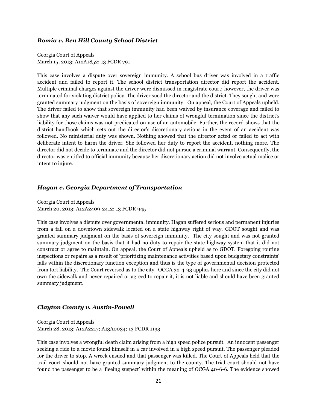#### *Bomia v. Ben Hill County School District*

Georgia Court of Appeals March 15, 2013; A12A1852; 13 FCDR 791

This case involves a dispute over sovereign immunity. A school bus driver was involved in a traffic accident and failed to report it. The school district transportation director did report the accident. Multiple criminal charges against the driver were dismissed in magistrate court; however, the driver was terminated for violating district policy. The driver sued the director and the district. They sought and were granted summary judgment on the basis of sovereign immunity. On appeal, the Court of Appeals upheld. The driver failed to show that sovereign immunity had been waived by insurance coverage and failed to show that any such waiver would have applied to her claims of wrongful termination since the district's liability for those claims was not predicated on use of an automobile. Further, the record shows that the district handbook which sets out the director's discretionary actions in the event of an accident was followed. No ministerial duty was shown. Nothing showed that the director acted or failed to act with deliberate intent to harm the driver. She followed her duty to report the accident, nothing more. The director did not decide to terminate and the director did not pursue a criminal warrant. Consequently, the director was entitled to official immunity because her discretionary action did not involve actual malice or intent to injure.

#### *Hagan v. Georgia Department of Transportation*

Georgia Court of Appeals March 20, 2013; A12A2409-2412; 13 FCDR 945

This case involves a dispute over governmental immunity. Hagan suffered serious and permanent injuries from a fall on a downtown sidewalk located on a state highway right of way. GDOT sought and was granted summary judgment on the basis of sovereign immunity. The city sought and was not granted summary judgment on the basis that it had no duty to repair the state highway system that it did not construct or agree to maintain. On appeal, the Court of Appeals upheld as to GDOT. Foregoing routine inspections or repairs as a result of 'prioritizing maintenance activities based upon budgetary constraints' falls within the discretionary function exception and thus is the type of governmental decision protected from tort liability. The Court reversed as to the city. OCGA 32-4-93 applies here and since the city did not own the sidewalk and never repaired or agreed to repair it, it is not liable and should have been granted summary judgment.

#### *Clayton County v. Austin-Powell*

Georgia Court of Appeals March 28, 2013; A12A2217; A13A0034; 13 FCDR 1133

This case involves a wrongful death claim arising from a high speed police pursuit. An innocent passenger seeking a ride to a movie found himself in a car involved in a high speed pursuit. The passenger pleaded for the driver to stop. A wreck ensued and that passenger was killed. The Court of Appeals held that the trail court should not have granted summary judgment to the county. The trial court should not have found the passenger to be a 'fleeing suspect' within the meaning of OCGA 40-6-6. The evidence showed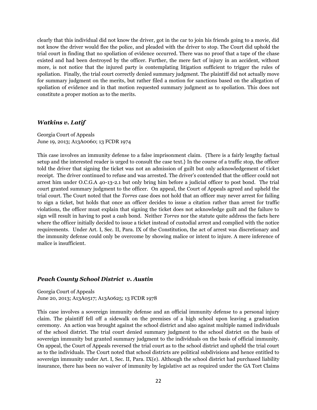clearly that this individual did not know the driver, got in the car to join his friends going to a movie, did not know the driver would flee the police, and pleaded with the driver to stop. The Court did uphold the trial court in finding that no spoliation of evidence occurred. There was no proof that a tape of the chase existed and had been destroyed by the officer. Further, the mere fact of injury in an accident, without more, is not notice that the injured party is contemplating litigation sufficient to trigger the rules of spoliation. Finally, the trial court correctly denied summary judgment. The plaintiff did not actually move for summary judgment on the merits, but rather filed a motion for sanctions based on the allegation of spoliation of evidence and in that motion requested summary judgment as to spoliation. This does not constitute a proper motion as to the merits.

#### *Watkins v. Latif*

Georgia Court of Appeals June 19, 2013; A13A0060; 13 FCDR 1974

This case involves an immunity defense to a false imprisonment claim. {There is a fairly lengthy factual setup and the interested reader is urged to consult the case text.} In the course of a traffic stop, the officer told the driver that signing the ticket was not an admission of guilt but only acknowledgement of ticket receipt. The driver continued to refuse and was arrested. The driver's contended that the officer could not arrest him under O.C.G.A 40-13-2.1 but only bring him before a judicial officer to post bond. The trial court granted summary judgment to the officer. On appeal, the Court of Appeals agreed and upheld the trial court. The Court noted that the *Torres* case does not hold that an officer may never arrest for failing to sign a ticket, but holds that once an officer decides to issue a citation rather than arrest for traffic violations, the officer must explain that signing the ticket does not acknowledge guilt and the failure to sign will result in having to post a cash bond. Neither *Torres* nor the statute quite address the facts here where the officer initially decided to issue a ticket instead of custodial arrest and complied with the notice requirements. Under Art. I, Sec. II, Para. IX of the Constitution, the act of arrest was discretionary and the immunity defense could only be overcome by showing malice or intent to injure. A mere inference of malice is insufficient.

#### *Peach County School District v. Austin*

Georgia Court of Appeals June 20, 2013; A13A0517; A13A0625; 13 FCDR 1978

This case involves a sovereign immunity defense and an official immunity defense to a personal injury claim. The plaintiff fell off a sidewalk on the premises of a high school upon leaving a graduation ceremony. An action was brought against the school district and also against multiple named individuals of the school district. The trial court denied summary judgment to the school district on the basis of sovereign immunity but granted summary judgment to the individuals on the basis of official immunity. On appeal, the Court of Appeals reversed the trial court as to the school district and upheld the trial court as to the individuals. The Court noted that school districts are political subdivisions and hence entitled to sovereign immunity under Art. I, Sec. II, Para. IX(e). Although the school district had purchased liability insurance, there has been no waiver of immunity by legislative act as required under the GA Tort Claims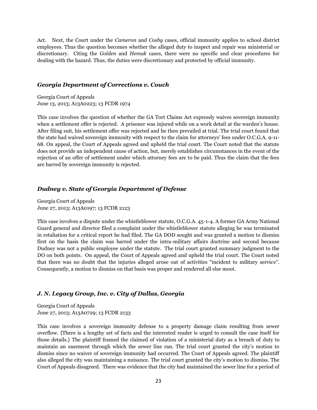Act. Next, the Court under the *Cameron* and *Cosby* cases, official immunity applies to school district employees. Thus the question becomes whether the alleged duty to inspect and repair was ministerial or discretionary. Citing the *Golden* and *Hemak* cases, there were no specific and clear procedures for dealing with the hazard. Thus, the duties were discretionary and protected by official immunity.

#### *Georgia Department of Corrections v. Couch*

Georgia Court of Appeals June 13, 2013; A13A0223; 13 FCDR 1974

This case involves the question of whether the GA Tort Claims Act expressly waives sovereign immunity when a settlement offer is rejected. A prisoner was injured while on a work detail at the warden's house. After filing suit, his settlement offer was rejected and he then prevailed at trial. The trial court found that the state had waived sovereign immunity with respect to the claim for attorneys' fees under O.C.G.A. 9-11- 68. On appeal, the Court of Appeals agreed and upheld the trial court. The Court noted that the statute does not provide an independent cause of action, but, merely establishes circumstances in the event of the rejection of an offer of settlement under which attorney fees are to be paid. Thus the claim that the fees are barred by sovereign immunity is rejected.

#### *Dudney v. State of Georgia Department of Defense*

Georgia Court of Appeals June 27, 2013; A13A0197; 13 FCDR 2123

This case involves a dispute under the whistleblower statute, O.C.G.A. 45-1-4. A former GA Army National Guard general and director filed a complaint under the whistleblower statute alleging he was terminated in retaliation for a critical report he had filed. The GA DOD sought and was granted a motion to dismiss first on the basis the claim was barred under the intra-military affairs doctrine and second because Dudney was not a public employee under the statute. The trial court granted summary judgment to the DO on both points. On appeal, the Court of Appeals agreed and upheld the trial court. The Court noted that there was no doubt that the injuries alleged arose out of activities "incident to military service". Consequently, a motion to dismiss on that basis was proper and rendered all else moot.

#### *J. N. Legacy Group, Inc. v. City of Dallas, Georgia*

Georgia Court of Appeals June 27, 2013; A13A0729; 13 FCDR 2133

This case involves a sovereign immunity defense to a property damage claim resulting from sewer overflow. {There is a lengthy set of facts and the interested reader is urged to consult the case itself for those details.} The plaintiff framed the claimed of violation of a ministerial duty as a breach of duty to maintain an easement through which the sewer line ran. The trial court granted the city's motion to dismiss since no waiver of sovereign immunity had occurred. The Court of Appeals agreed. The plaintiff also alleged the city was maintaining a nuisance. The trial court granted the city's motion to dismiss. The Court of Appeals disagreed. There was evidence that the city had maintained the sewer line for a period of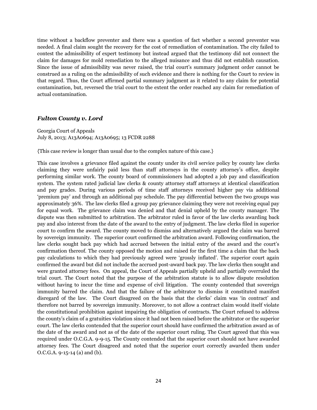time without a backflow preventer and there was a question of fact whether a second preventer was needed. A final claim sought the recovery for the cost of remediation of contamination. The city failed to contest the admissibility of expert testimony but instead argued that the testimony did not connect the claim for damages for mold remediation to the alleged nuisance and thus did not establish causation. Since the issue of admissibility was never raised, the trial court's summary judgment order cannot be construed as a ruling on the admissibility of such evidence and there is nothing for the Court to review in that regard. Thus, the Court affirmed partial summary judgment as it related to any claim for potential contamination, but, reversed the trial court to the extent the order reached any claim for remediation of actual contamination.

#### *Fulton County v. Lord*

Georgia Court of Appeals July 8, 2013; A13A0694; A13A0695; 13 FCDR 2288

{This case review is longer than usual due to the complex nature of this case.}

This case involves a grievance filed against the county under its civil service policy by county law clerks claiming they were unfairly paid less than staff attorneys in the county attorney's office, despite performing similar work. The county board of commissioners had adopted a job pay and classification system. The system rated judicial law clerks & county attorney staff attorneys at identical classification and pay grades. During various periods of time staff attorneys received higher pay via additional 'premium pay' and through an additional pay schedule. The pay differential between the two groups was approximately 36%. The law clerks filed a group pay grievance claiming they were not receiving equal pay for equal work. The grievance claim was denied and that denial upheld by the county manager. The dispute was then submitted to arbitration. The arbitrator ruled in favor of the law clerks awarding back pay and also interest from the date of the award to the entry of judgment. The law clerks filed in superior court to confirm the award. The county moved to dismiss and alternatively argued the claim was barred by sovereign immunity. The superior court confirmed the arbitration award. Following confirmation, the law clerks sought back pay which had accrued between the initial entry of the award and the court's confirmation thereof. The county opposed the motion and raised for the first time a claim that the back pay calculations to which they had previously agreed were 'grossly inflated'. The superior court again confirmed the award but did not include the accrued post-award back pay. The law clerks then sought and were granted attorney fees. On appeal, the Court of Appeals partially upheld and partially overruled the trial court. The Court noted that the purpose of the arbitration statute is to allow dispute resolution without having to incur the time and expense of civil litigation. The county contended that sovereign immunity barred the claim. And that the failure of the arbitrator to dismiss it constituted manifest disregard of the law. The Court disagreed on the basis that the clerks' claim was 'in contract' and therefore not barred by sovereign immunity. Moreover, to not allow a contract claim would itself violate the constitutional prohibition against impairing the obligation of contracts. The Court refused to address the county's claim of a gratuities violation since it had not been raised before the arbitrator or the superior court. The law clerks contended that the superior court should have confirmed the arbitration award as of the date of the award and not as of the date of the superior court ruling. The Court agreed that this was required under O.C.G.A. 9-9-15. The County contended that the superior court should not have awarded attorney fees. The Court disagreed and noted that the superior court correctly awarded them under O.C.G.A. 9-15-14 (a) and (b).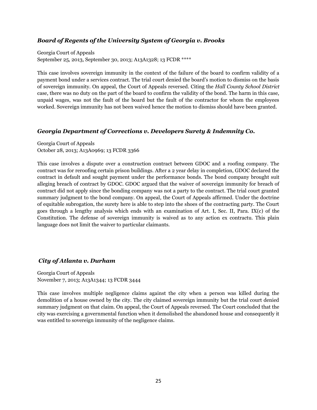#### *Board of Regents of the University System of Georgia v. Brooks*

Georgia Court of Appeals September 25, 2013, September 30, 2013; A13A1328; 13 FCDR \*\*\*\*

This case involves sovereign immunity in the context of the failure of the board to confirm validity of a payment bond under a services contract. The trial court denied the board's motion to dismiss on the basis of sovereign immunity. On appeal, the Court of Appeals reversed. Citing the *Hall County School District* case, there was no duty on the part of the board to confirm the validity of the bond. The harm in this case, unpaid wages, was not the fault of the board but the fault of the contractor for whom the employees worked. Sovereign immunity has not been waived hence the motion to dismiss should have been granted.

#### *Georgia Department of Corrections v. Developers Surety & Indemnity Co.*

Georgia Court of Appeals October 28, 2013; A13A0969; 13 FCDR 3366

This case involves a dispute over a construction contract between GDOC and a roofing company. The contract was for reroofing certain prison buildings. After a 2 year delay in completion, GDOC declared the contract in default and sought payment under the performance bonds. The bond company brought suit alleging breach of contract by GDOC. GDOC argued that the waiver of sovereign immunity for breach of contract did not apply since the bonding company was not a party to the contract. The trial court granted summary judgment to the bond company. On appeal, the Court of Appeals affirmed. Under the doctrine of equitable subrogation, the surety here is able to step into the shoes of the contracting party. The Court goes through a lengthy analysis which ends with an examination of Art. I, Sec. II, Para. IX(c) of the Constitution. The defense of sovereign immunity is waived as to any action ex contractu. This plain language does not limit the waiver to particular claimants.

#### *City of Atlanta v. Durham*

Georgia Court of Appeals November 7, 2013; A13A1344; 13 FCDR 3444

This case involves multiple negligence claims against the city when a person was killed during the demolition of a house owned by the city. The city claimed sovereign immunity but the trial court denied summary judgment on that claim. On appeal, the Court of Appeals reversed. The Court concluded that the city was exercising a governmental function when it demolished the abandoned house and consequently it was entitled to sovereign immunity of the negligence claims.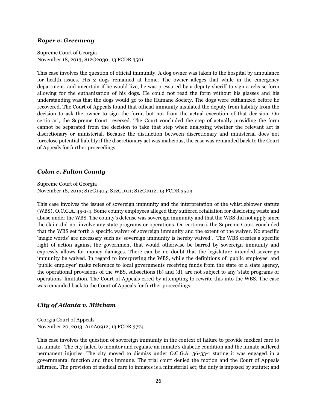#### *Roper v. Greenway*

Supreme Court of Georgia November 18, 2013; S12G2030; 13 FCDR 3501

This case involves the question of official immunity. A dog owner was taken to the hospital by ambulance for health issues. His 2 dogs remained at home. The owner alleges that while in the emergency department, and uncertain if he would live, he was pressured by a deputy sheriff to sign a release form allowing for the euthanization of his dogs. He could not read the form without his glasses and his understanding was that the dogs would go to the Humane Society. The dogs were euthanized before he recovered. The Court of Appeals found that official immunity insulated the deputy from liability from the decision to ask the owner to sign the form, but not from the actual execution of that decision. On certiorari, the Supreme Court reversed. The Court concluded the step of actually providing the form cannot be separated from the decision to take that step when analyzing whether the relevant act is discretionary or ministerial. Because the distinction between discretionary and ministerial does not foreclose potential liability if the discretionary act was malicious, the case was remanded back to the Court of Appeals for further proceedings.

#### *Colon v. Fulton County*

Supreme Court of Georgia November 18, 2013; S12G1905; S12G1911; S12G1912; 13 FCDR 3503

This case involves the issues of sovereign immunity and the interpretation of the whistleblower statute (WBS), O.C.G.A. 45-1-4. Some county employees alleged they suffered retaliation for disclosing waste and abuse under the WBS. The county's defense was sovereign immunity and that the WBS did not apply since the claim did not involve any state programs or operations. On certiorari, the Supreme Court concluded that the WBS set forth a specific waiver of sovereign immunity and the extent of the waiver. No specific 'magic words' are necessary such as 'sovereign immunity is hereby waived'. The WBS creates a specific right of action against the government that would otherwise be barred by sovereign immunity and expressly allows for money damages. There can be no doubt that the legislature intended sovereign immunity be waived. In regard to interpreting the WBS, while the definitions of 'public employee' and 'public employer' make reference to local governments receiving funds from the state or a state agency, the operational provisions of the WBS, subsections (b) and (d), are not subject to any 'state programs or operations' limitation. The Court of Appeals erred by attempting to rewrite this into the WBS. The case was remanded back to the Court of Appeals for further proceedings.

#### *City of Atlanta v. Mitcham*

Georgia Court of Appeals November 20, 2013; A12A0912; 13 FCDR 3774

This case involves the question of sovereign immunity in the context of failure to provide medical care to an inmate. The city failed to monitor and regulate an inmate's diabetic condition and the inmate suffered permanent injuries. The city moved to dismiss under O.C.G.A. 36-33-1 stating it was engaged in a governmental function and thus immune. The trial court denied the motion and the Court of Appeals affirmed. The provision of medical care to inmates is a ministerial act; the duty is imposed by statute; and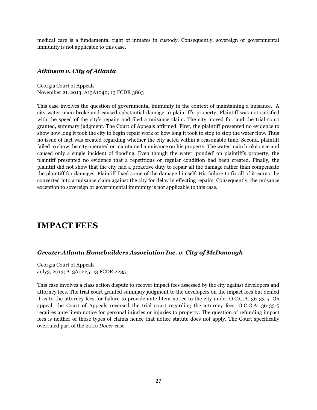medical care is a fundamental right of inmates in custody. Consequently, sovereign or governmental immunity is not applicable to this case.

#### *Atkinson v. City of Atlanta*

Georgia Court of Appeals November 21, 2013; A13A1040; 13 FCDR 3863

This case involves the question of governmental immunity in the context of maintaining a nuisance. A city water main broke and caused substantial damage to plaintiff's property. Plaintiff was not satisfied with the speed of the city's repairs and filed a nuisance claim. The city moved for, and the trial court granted, summary judgment. The Court of Appeals affirmed. First, the plaintiff presented no evidence to show how long it took the city to begin repair work or how long it took to stop to stop the water flow. Thus no issue of fact was created regarding whether the city acted within a reasonable time. Second, plaintiff failed to show the city operated or maintained a nuisance on his property. The water main broke once and caused only a single incident of flooding. Even though the water 'ponded' on plaintiff's property, the plaintiff presented no evidence that a repetitious or regular condition had been created. Finally, the plaintiff did not show that the city had a proactive duty to repair all the damage rather than compensate the plaintiff for damages. Plaintiff fixed some of the damage himself. His failure to fix all of it cannot be converted into a nuisance claim against the city for delay in effecting repairs. Consequently, the nuisance exception to sovereign or governmental immunity is not applicable to this case.

# **IMPACT FEES**

#### *Greater Atlanta Homebuilders Association Inc. v. City of McDonough*

Georgia Court of Appeals July3, 2013; A13A0225; 13 FCDR 2235

This case involves a class action dispute to recover impact fees assessed by the city against developers and attorney fees. The trial court granted summary judgment to the developers on the impact fees but denied it as to the attorney fees for failure to provide ante litem notice to the city under O.C.G.A. 36-33-5. On appeal, the Court of Appeals reversed the trial court regarding the attorney fees. O.C.G.A. 36-33-5 requires ante litem notice for personal injuries or injuries to property. The question of refunding impact fees is neither of those types of claims hence that notice statute does not apply. The Court specifically overruled part of the 2000 *Dover* case.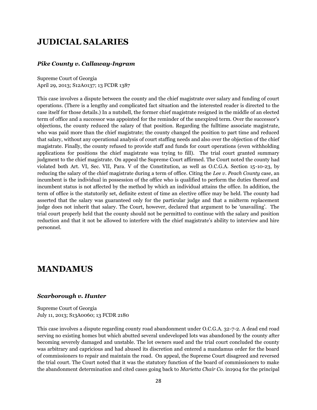# **JUDICIAL SALARIES**

#### *Pike County v. Callaway-Ingram*

Supreme Court of Georgia April 29, 2013; S12A0137; 13 FCDR 1387

This case involves a dispute between the county and the chief magistrate over salary and funding of court operations. (There is a lengthy and complicated fact situation and the interested reader is directed to the case itself for those details.) In a nutshell, the former chief magistrate resigned in the middle of an elected term of office and a successor was appointed for the reminder of the unexpired term. Over the successor's objections, the county reduced the salary of that position. Regarding the fulltime associate magistrate, who was paid more than the chief magistrate; the county changed the position to part time and reduced that salary, without any operational analysis of court staffing needs and also over the objection of the chief magistrate. Finally, the county refused to provide staff and funds for court operations (even withholding applications for positions the chief magistrate was trying to fill). The trial court granted summary judgment to the chief magistrate. On appeal the Supreme Court affirmed. The Court noted the county had violated both Art. VI, Sec. VII, Para. V of the Constitution, as well as O.C.G.A. Section 15-10-23, by reducing the salary of the chief magistrate during a term of office. Citing the *Lee v. Peach County* case, an incumbent is the individual in possession of the office who is qualified to perform the duties thereof and incumbent status is not affected by the method by which an individual attains the office. In addition, the term of office is the statutorily set, definite extent of time an elective office may be held. The county had asserted that the salary was guaranteed only for the particular judge and that a midterm replacement judge does not inherit that salary. The Court, however, declared that argument to be 'unavailing'. The trial court properly held that the county should not be permitted to continue with the salary and position reduction and that it not be allowed to interfere with the chief magistrate's ability to interview and hire personnel.

### **MANDAMUS**

#### *Scarborough v. Hunter*

Supreme Court of Georgia July 11, 2013; S13A0060; 13 FCDR 2180

This case involves a dispute regarding county road abandonment under O.C.G.A. 32-7-2. A dead end road serving no existing homes but which abutted several undeveloped lots was abandoned by the county after becoming severely damaged and unstable. The lot owners sued and the trial court concluded the county was arbitrary and capricious and had abused its discretion and entered a mandamus order for the board of commissioners to repair and maintain the road. On appeal, the Supreme Court disagreed and reversed the trial court. The Court noted that it was the statutory function of the board of commissioners to make the abandonment determination and cited cases going back to *Marietta Chair Co.* in1904 for the principal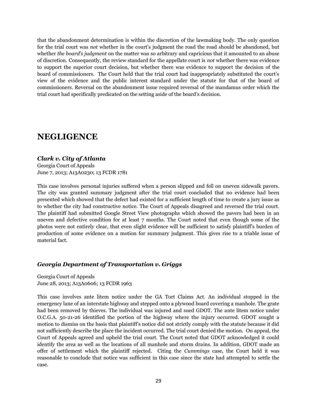that the abandonment determination is within the discretion of the lawmaking body. The only question for the trial court was *not* whether in the court's judgment the road the road should be abandoned, but whether *the board's judgment* on the matter was so arbitrary and capricious that it amounted to an abuse of discretion. Consequently, the review standard for the appellate court is *not* whether there was evidence to support the superior court decision, but whether there was evidence to support the decision of the board of commissioners. The Court held that the trial court had inappropriately substituted the court's view of the evidence and the public interest standard under the statute for that of the board of commissioners. Reversal on the abandonment issue required reversal of the mandamus order which the trial court had specifically predicated on the setting aside of the board's decision.

# **NEGLIGENCE**

#### *Clark v. City of Atlanta*

Georgia Court of Appeals June 7, 2013; A13A0230; 13 FCDR 1781

This case involves personal injuries suffered when a person slipped and fell on uneven sidewalk pavers. The city was granted summary judgment after the trial court concluded that no evidence had been presented which showed that the defect had existed for a sufficient length of time to create a jury issue as to whether the city had constructive notice. The Court of Appeals disagreed and reversed the trial court. The plaintiff had submitted Google Street View photographs which showed the pavers had been in an uneven and defective condition for at least 7 months. The Court noted that even though some of the photos were not entirely clear, that even slight evidence will be sufficient to satisfy plaintiff's burden of production of some evidence on a motion for summary judgment. This gives rise to a triable issue of material fact.

#### *Georgia Department of Transportation v. Griggs*

Georgia Court of Appeals June 28, 2013; A13A0606; 13 FCDR 1963

This case involves ante litem notice under the GA Tort Claims Act. An individual stopped in the emergency lane of an interstate highway and stepped onto a plywood board covering a manhole. The grate had been removed by thieves. The individual was injured and sued GDOT. The ante litem notice under O.C.G.A. 50-21-26 identified the portion of the highway where the injury occurred. GDOT sought a motion to dismiss on the basis that plaintiff's notice did not strictly comply with the statute because it did not sufficiently describe the place the incident occurred. The trial court denied the motion. On appeal, the Court of Appeals agreed and upheld the trial court. The Court noted that GDOT acknowledged it could identify the area as well as the locations of all manhole and storm drains. In addition, GDOT made an offer of settlement which the plaintiff rejected. Citing the *Cummings* case, the Court held it was reasonable to conclude that notice was sufficient in this case since the state had attempted to settle the case.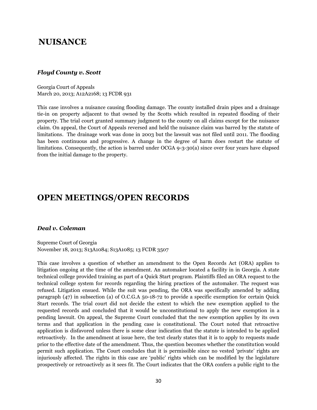### **NUISANCE**

#### *Floyd County v. Scott*

Georgia Court of Appeals March 20, 2013; A12A2168; 13 FCDR 931

This case involves a nuisance causing flooding damage. The county installed drain pipes and a drainage tie-in on property adjacent to that owned by the Scotts which resulted in repeated flooding of their property. The trial court granted summary judgment to the county on all claims except for the nuisance claim. On appeal, the Court of Appeals reversed and held the nuisance claim was barred by the statute of limitations. The drainage work was done in 2003 but the lawsuit was not filed until 2011. The flooding has been continuous and progressive. A change in the degree of harm does restart the statute of limitations. Consequently, the action is barred under OCGA 9-3-30(a) since over four years have elapsed from the initial damage to the property.

### **OPEN MEETINGS/OPEN RECORDS**

#### *Deal v. Coleman*

Supreme Court of Georgia November 18, 2013; S13A1084; S13A1085; 13 FCDR 3507

This case involves a question of whether an amendment to the Open Records Act (ORA) applies to litigation ongoing at the time of the amendment. An automaker located a facility in in Georgia. A state technical college provided training as part of a Quick Start program. Plaintiffs filed an ORA request to the technical college system for records regarding the hiring practices of the automaker. The request was refused. Litigation ensued. While the suit was pending, the ORA was specifically amended by adding paragraph (47) in subsection (a) of O.C.G.A 50-18-72 to provide a specific exemption for certain Quick Start records. The trial court did not decide the extent to which the new exemption applied to the requested records and concluded that it would be unconstitutional to apply the new exemption in a pending lawsuit. On appeal, the Supreme Court concluded that the new exemption applies by its own terms and that application in the pending case is constitutional. The Court noted that retroactive application is disfavored unless there is some clear indication that the statute is intended to be applied retroactively. In the amendment at issue here, the text clearly states that it is to apply to requests made prior to the effective date of the amendment. Thus, the question becomes whether the constitution would permit such application. The Court concludes that it is permissible since no vested 'private' rights are injuriously affected. The rights in this case are 'public' rights which can be modified by the legislature prospectively or retroactively as it sees fit. The Court indicates that the ORA confers a public right to the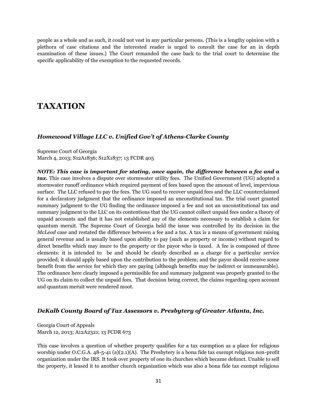people as a whole and as such, it could not vest in any particular persons. {This is a lengthy opinion with a plethora of case citations and the interested reader is urged to consult the case for an in depth examination of these issues.} The Court remanded the case back to the trial court to determine the specific applicability of the exemption to the requested records.

# **TAXATION**

#### *Homewood Village LLC v. Unified Gov't of Athens-Clarke County*

Supreme Court of Georgia March 4, 2013; S12A1836; S12X1837; 13 FCDR 405

*NOTE: This case is important for stating, once again, the difference between a fee and a tax.* This case involves a dispute over stormwater utility fees. The Unified Government (UG) adopted a stormwater runoff ordinance which required payment of fees based upon the amount of level, impervious surface. The LLC refused to pay the fees. The UG sued to recover unpaid fees and the LLC counterclaimed for a declaratory judgment that the ordinance imposed an unconstitutional tax. The trial court granted summary judgment to the UG finding the ordinance imposed a fee and not an unconstitutional tax and summary judgment to the LLC on its contentions that the UG cannot collect unpaid fees under a theory of unpaid accounts and that it has not established any of the elements necessary to establish a claim for quantum meruit. The Supreme Court of Georgia held the issue was controlled by its decision in the *McLeod* case and restated the difference between a fee and a tax. A tax is a means of government raising general revenue and is usually based upon ability to pay (such as property or income) without regard to direct benefits which may inure to the property or the payor who is taxed. A fee is composed of three elements: it is intended to be and should be clearly described as a charge for a particular service provided; it should apply based upon the contribution to the problem; and the payor should receive some benefit from the service for which they are paying (although benefits may be indirect or immeasurable). The ordinance here clearly imposed a permissible fee and summary judgment was properly granted to the UG on its claim to collect the unpaid fees. That decision being correct, the claims regarding open account and quantum meruit were rendered moot.

#### *DeKalb County Board of Tax Assessors v. Presbytery of Greater Atlanta, Inc.*

Georgia Court of Appeals March 12, 2013; A12A2321; 13 FCDR 673

This case involves a question of whether property qualifies for a tax exemption as a place for religious worship under O.C.G.A. 48-5-41 (a)(2.1)(A). The Presbytery is a bona fide tax exempt religious non-profit organization under the IRS. It took over property of one its churches which became defunct. Unable to sell the property, it leased it to another church organization which was also a bona fide tax exempt religious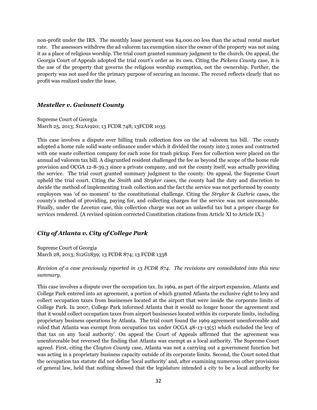non-profit under the IRS. The monthly lease payment was \$4,000.00 less than the actual rental market rate. The assessors withdrew the ad valorem tax exemption since the owner of the property was not using it as a place of religious worship. The trial court granted summary judgment to the church. On appeal, the Georgia Court of Appeals adopted the trial court's order as its own. Citing the *Pickens County* case, it is the use of the property that governs the religious worship exemption, not the ownership. Further, the property was not used for the primary purpose of securing an income. The record reflects clearly that no profit was realized under the lease.

#### *Mesteller v. Gwinnett County*

Supreme Court of Georgia March 25, 2013; S12A1920; 13 FCDR 748; 13FCDR 1035

This case involves a dispute over billing trash collection fees on the ad valorem tax bill. The county adopted a home rule solid waste ordinance under which it divided the county into 5 zones and contracted with one waste collection company for each zone for trash pickup. Fees for collection were placed on the annual ad valorem tax bill. A disgruntled resident challenged the fee as beyond the scope of the home rule provision and OCGA 12-8-39.3 since a private company, and not the county itself, was actually providing the service. The trial court granted summary judgment to the county. On appeal, the Supreme Court upheld the trial court. Citing the *Smith* and *Stryker* cases, the county had the duty and discretion to decide the method of implementing trash collection and the fact the service was not performed by county employees was 'of no moment' to the constitutional challenge. Citing the *Stryker* & *Guthrie* cases, the county's method of providing, paying for, and collecting charges for the service was not unreasonable. Finally, under the *Levetan* case, this collection charge was not an unlawful tax but a proper charge for services rendered. {A revised opinion corrected Constitution citations from Article XI to Article IX.}

#### *City of Atlanta v. City of College Park*

Supreme Court of Georgia March 28, 2013; S12G1839; 13 FCDR 874; 13 FCDR 1338

*Revision of a case previously reported in 13 FCDR 874. The revisions are consolidated into this new summary.*

This case involves a dispute over the occupation tax. In 1969, as part of the airport expansion, Atlanta and College Park entered into an agreement, a portion of which granted Atlanta the exclusive right to levy and collect occupation taxes from businesses located at the airport that were inside the corporate limits of College Park. In 2007, College Park informed Atlanta that it would no longer honor the agreement and that it would collect occupation taxes from airport businesses located within its corporate limits, including proprietary business operations by Atlanta. The trial court found the 1969 agreement unenforceable and ruled that Atlanta was exempt from occupation tax under OCGA 48-13-13(5) which excluded the levy of that tax on any 'local authority'. On appeal the Court of Appeals affirmed that the agreement was unenforceable but reversed the finding that Atlanta was exempt as a local authority. The Supreme Court agreed. First, citing the *Clayton County* case, Atlanta was not a carrying out a government function but was acting in a proprietary business capacity outside of its corporate limits. Second, the Court noted that the occupation tax statute did not define 'local authority' and, after examining numerous other provisions of general law, held that nothing showed that the legislature intended a city to be a local authority for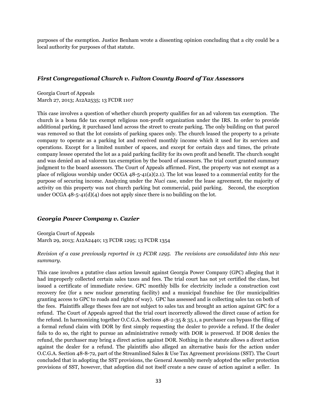purposes of the exemption. Justice Benham wrote a dissenting opinion concluding that a city could be a local authority for purposes of that statute.

#### *First Congregational Church v. Fulton County Board of Tax Assessors*

Georgia Court of Appeals March 27, 2013; A12A2535; 13 FCDR 1107

This case involves a question of whether church property qualifies for an ad valorem tax exemption. The church is a bona fide tax exempt religious non-profit organization under the IRS. In order to provide additional parking, it purchased land across the street to create parking. The only building on that parcel was removed so that the lot consists of parking spaces only. The church leased the property to a private company to operate as a parking lot and received monthly income which it used for its services and operations. Except for a limited number of spaces, and except for certain days and times, the private company lessee operated the lot as a paid parking facility for its own profit and benefit. The church sought and was denied an ad valorem tax exemption by the board of assessors. The trial court granted summary judgment to the board assessors. The Court of Appeals affirmed. First, the property was not exempt as a place of religious worship under OCGA 48-5-41(a)(2.1). The lot was leased to a commercial entity for the purpose of securing income. Analyzing under the *Nuci* case, under the lease agreement, the majority of activity on this property was not church parking but commercial, paid parking. Second, the exception under OCGA 48-5-41(d)(4) does not apply since there is no building on the lot.

#### *Georgia Power Company v. Cazier*

Georgia Court of Appeals March 29, 2013; A12A2440; 13 FCDR 1295; 13 FCDR 1354

*Revision of a case previously reported in 13 FCDR 1295. The revisions are consolidated into this new summary.*

This case involves a putative class action lawsuit against Georgia Power Company (GPC) alleging that it had improperly collected certain sales taxes and fees. The trial court has not yet certified the class, but issued a certificate of immediate review. GPC monthly bills for electricity include a construction cost recovery fee (for a new nuclear generating facility) and a municipal franchise fee (for municipalities granting access to GPC to roads and rights of way). GPC has assessed and is collecting sales tax on both of the fees. Plaintiffs allege theses fees are not subject to sales tax and brought an action against GPC for a refund. The Court of Appeals agreed that the trial court incorrectly allowed the direct cause of action for the refund. In harmonizing together O.C.G.A. Sections 48-2-35 & 35.1, a purchaser can bypass the filing of a formal refund claim with DOR by first simply requesting the dealer to provide a refund. If the dealer fails to do so, the right to pursue an administrative remedy with DOR is preserved. If DOR denies the refund, the purchaser may bring a direct action against DOR. Nothing in the statute allows a direct action against the dealer for a refund. The plaintiffs also alleged an alternative basis for the action under O.C.G.A. Section 48-8-72, part of the Streamlined Sales & Use Tax Agreement provisions (SST). The Court concluded that in adopting the SST provisions, the General Assembly merely adopted the seller protection provisions of SST, however, that adoption did not itself create a new cause of action against a seller. In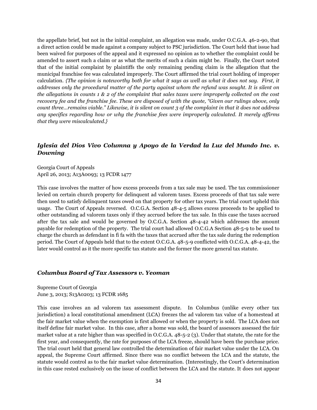the appellate brief, but not in the initial complaint, an allegation was made, under O.C.G.A. 46-2-90, that a direct action could be made against a company subject to PSC jurisdiction. The Court held that issue had been waived for purposes of the appeal and it expressed no opinion as to whether the complaint could be amended to assert such a claim or as what the merits of such a claim might be. Finally, the Court noted that of the initial complaint by plaintiffs the only remaining pending claim is the allegation that the municipal franchise fee was calculated improperly. The Court affirmed the trial court holding of improper calculation. *{The opinion is noteworthy both for what it says as well as what it does not say. First, it addresses only the procedural matter of the party against whom the refund was sought. It is silent on the allegations in counts 1 & 2 of the complaint that sales taxes were improperly collected on the cost recovery fee and the franchise fee. These are disposed of with the quote, "Given our rulings above, only count three…remains viable." Likewise, it is silent on count 3 of the complaint in that it does not address any specifics regarding how or why the franchise fees were improperly calculated. It merely affirms that they were miscalculated.}*

#### *Iglesia del Dios Vivo Columna y Apoyo de la Verdad la Luz del Mundo Inc. v. Downing*

Georgia Court of Appeals April 26, 2013; A13A0093; 13 FCDR 1477

This case involves the matter of how excess proceeds from a tax sale may be used. The tax commissioner levied on certain church property for delinquent ad valorem taxes. Excess proceeds of that tax sale were then used to satisfy delinquent taxes owed on that property for other tax years. The trial court upheld this usage. The Court of Appeals reversed. O.C.G.A. Section 48-4-5 allows excess proceeds to be applied to other outstanding ad valorem taxes only if they accrued before the tax sale. In this case the taxes accrued after the tax sale and would be governed by O.C.G.A. Section 48-4-42 which addresses the amount payable for redemption of the property. The trial court had allowed O.C.G.A Section 48-5-9 to be used to charge the church as defendant in fi fa with the taxes that accrued after the tax sale during the redemption period. The Court of Appeals held that to the extent O.C.G.A. 48-5-9 conflicted with O.C.G.A. 48-4-42, the later would control as it the more specific tax statute and the former the more general tax statute.

#### *Columbus Board of Tax Assessors v. Yeoman*

Supreme Court of Georgia June 3, 2013; S13A0203; 13 FCDR 1685

This case involves an ad valorem tax assessment dispute. In Columbus (unlike every other tax jurisdiction) a local constitutional amendment (LCA) freezes the ad valorem tax value of a homestead at the fair market value when the exemption is first allowed or when the property is sold. The LCA does not itself define fair market value. In this case, after a home was sold, the board of assessors assessed the fair market value at a rate higher than was specified in O.C.G.A. 48-5-2 (3). Under that statute, the rate for the first year, and consequently, the rate for purposes of the LCA freeze, should have been the purchase price. The trial court held that general law controlled the determination of fair market value under the LCA. On appeal, the Supreme Court affirmed. Since there was no conflict between the LCA and the statute, the statute would control as to the fair market value determination. {Interestingly, the Court's determination in this case rested exclusively on the issue of conflict between the LCA and the statute. It does not appear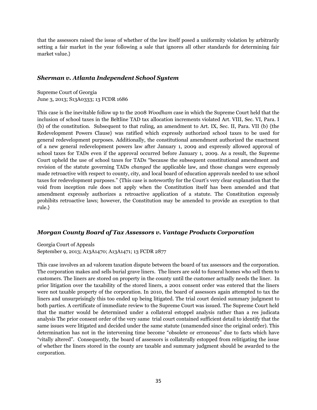that the assessors raised the issue of whether of the law itself posed a uniformity violation by arbitrarily setting a fair market in the year following a sale that ignores all other standards for determining fair market value.}

#### *Sherman v. Atlanta Independent School System*

Supreme Court of Georgia June 3, 2013; S13A0333; 13 FCDR 1686

This case is the inevitable follow up to the 2008 *Woodham* case in which the Supreme Court held that the inclusion of school taxes in the Beltline TAD tax allocation increments violated Art. VIII, Sec. VI, Para. I (b) of the constitution. Subsequent to that ruling, an amendment to Art. IX, Sec. II, Para. VII (b) {the Redevelopment Powers Clause} was ratified which expressly authorized school taxes to be used for general redevelopment purposes. Additionally, the constitutional amendment authorized the enactment of a new general redevelopment powers law after January 1, 2009 and expressly allowed approval of school taxes for TADs even if the approval occurred before January 1, 2009. As a result, the Supreme Court upheld the use of school taxes for TADs "because the subsequent constitutional amendment and revision of the statute governing TADs *changed* the applicable law, and those changes were expressly made retroactive with respect to county, city, and local board of education approvals needed to use school taxes for redevelopment purposes." {This case is noteworthy for the Court's very clear explanation that the void from inception rule does not apply when the Constitution itself has been amended and that amendment expressly authorizes a retroactive application of a statute. The Constitution expressly prohibits retroactive laws; however, the Constitution may be amended to provide an exception to that rule.}

#### *Morgan County Board of Tax Assessors v. Vantage Products Corporation*

Georgia Court of Appeals September 9, 2013; A13A1470; A13A1471; 13 FCDR 2877

This case involves an ad valorem taxation dispute between the board of tax assessors and the corporation. The corporation makes and sells burial grave liners. The liners are sold to funeral homes who sell them to customers. The liners are stored on property in the county until the customer actually needs the liner. In prior litigation over the taxability of the stored liners, a 2001 consent order was entered that the liners were not taxable property of the corporation. In 2010, the board of assessors again attempted to tax the liners and unsurprisingly this too ended up being litigated. The trial court denied summary judgment to both parties. A certificate of immediate review to the Supreme Court was issued. The Supreme Court held that the matter would be determined under a collateral estoppel analysis rather than a res judicata analysis The prior consent order of the very same trial court contained sufficient detail to identify that the same issues were litigated and decided under the same statute (unamended since the original order). This determination has not in the intervening time become "obsolete or erroneous" due to facts which have "vitally altered". Consequently, the board of assessors is collaterally estopped from relitigating the issue of whether the liners stored in the county are taxable and summary judgment should be awarded to the corporation.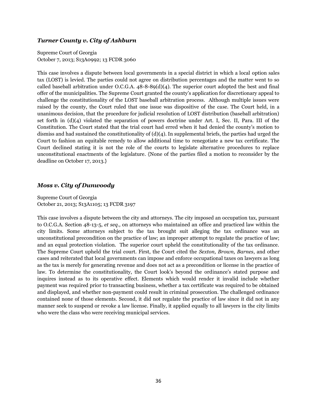#### *Turner County v. City of Ashburn*

Supreme Court of Georgia October 7, 2013; S13A0992; 13 FCDR 3060

This case involves a dispute between local governments in a special district in which a local option sales tax (LOST) is levied. The parties could not agree on distribution percentages and the matter went to so called baseball arbitration under O.C.G.A. 48-8-89(d)(4). The superior court adopted the best and final offer of the municipalities. The Supreme Court granted the county's application for discretionary appeal to challenge the constitutionality of the LOST baseball arbitration process. Although multiple issues were raised by the county, the Court ruled that one issue was dispositive of the case. The Court held, in a unanimous decision, that the procedure for judicial resolution of LOST distribution (baseball arbitration) set forth in (d)(4) violated the separation of powers doctrine under Art. I, Sec. II, Para. III of the Constitution. The Court stated that the trial court had erred when it had denied the county's motion to dismiss and had sustained the constitutionality of (d)(4). In supplemental briefs, the parties had urged the Court to fashion an equitable remedy to allow additional time to renegotiate a new tax certificate. The Court declined stating it is not the role of the courts to legislate alternative procedures to replace unconstitutional enactments of the legislature. {None of the parties filed a motion to reconsider by the deadline on October 17, 2013.}

#### *Moss v. City of Dunwoody*

Supreme Court of Georgia October 21, 2013; S13A1105; 13 FCDR 3197

This case involves a dispute between the city and attorneys. The city imposed an occupation tax, pursuant to O.C.G.A. Section 48-13-5, *et seq.,* on attorneys who maintained an office and practiced law within the city limits. Some attorneys subject to the tax brought suit alleging the tax ordinance was an unconstitutional precondition on the practice of law; an improper attempt to regulate the practice of law; and an equal protection violation. The superior court upheld the constitutionality of the tax ordinance. The Supreme Court upheld the trial court. First, the Court cited the *Sexton, Brown, Barnes*, and other cases and reiterated that local governments can impose and enforce occupational taxes on lawyers as long as the tax is merely for generating revenue and does not act as a precondition or license in the practice of law. To determine the constitutionality, the Court look's beyond the ordinance's stated purpose and inquires instead as to its operative effect. Elements which would render it invalid include whether payment was required prior to transacting business, whether a tax certificate was required to be obtained and displayed, and whether non-payment could result in criminal prosecution. The challenged ordinance contained none of those elements. Second, it did not regulate the practice of law since it did not in any manner seek to suspend or revoke a law license. Finally, it applied equally to all lawyers in the city limits who were the class who were receiving municipal services.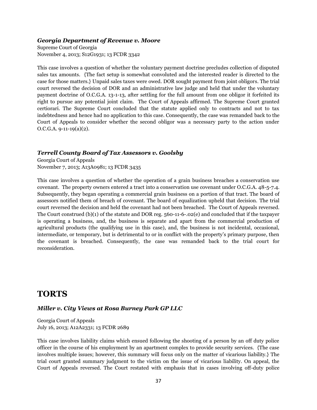#### *Georgia Department of Revenue v. Moore*

Supreme Court of Georgia November 4, 2013; S12G1931; 13 FCDR 3342

This case involves a question of whether the voluntary payment doctrine precludes collection of disputed sales tax amounts. {The fact setup is somewhat convoluted and the interested reader is directed to the case for those matters.} Unpaid sales taxes were owed. DOR sought payment from joint obligors. The trial court reversed the decision of DOR and an administrative law judge and held that under the voluntary payment doctrine of O.C.G.A. 13-1-13, after settling for the full amount from one obligor it forfeited its right to pursue any potential joint claim. The Court of Appeals affirmed. The Supreme Court granted certiorari. The Supreme Court concluded that the statute applied only to contracts and not to tax indebtedness and hence had no application to this case. Consequently, the case was remanded back to the Court of Appeals to consider whether the second obligor was a necessary party to the action under  $O.C.G.A. 9-11-19(a)(2)$ .

#### *Terrell County Board of Tax Assessors v. Goolsby*

Georgia Court of Appeals November 7, 2013; A13A0981; 13 FCDR 3435

This case involves a question of whether the operation of a grain business breaches a conservation use covenant. The property owners entered a tract into a conservation use covenant under O.C.G.A. 48-5-7.4. Subsequently, they began operating a commercial grain business on a portion of that tract. The board of assessors notified them of breach of covenant. The board of equalization upheld that decision. The trial court reversed the decision and held the covenant had not been breached. The Court of Appeals reversed. The Court construed (b)(1) of the statute and DOR reg. 560-11-6-.02(e) and concluded that if the taxpayer is operating a business, and, the business is separate and apart from the commercial production of agricultural products (the qualifying use in this case), and, the business is not incidental, occasional, intermediate, or temporary, but is detrimental to or in conflict with the property's primary purpose, then the covenant is breached. Consequently, the case was remanded back to the trial court for reconsideration.

# **TORTS**

#### *Miller v. City Views at Rosa Burney Park GP LLC*

Georgia Court of Appeals July 16, 2013; A12A2331; 13 FCDR 2689

This case involves liability claims which ensued following the shooting of a person by an off duty police officer in the course of his employment by an apartment complex to provide security services. {The case involves multiple issues; however, this summary will focus only on the matter of vicarious liability.} The trial court granted summary judgment to the victim on the issue of vicarious liability. On appeal, the Court of Appeals reversed. The Court restated with emphasis that in cases involving off-duty police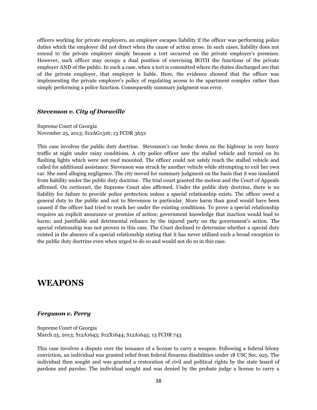officers working for private employers, an employer escapes liability if the officer was performing police duties which the employer did not direct when the cause of action arose. In such cases, liability does not extend to the private employer simply because a tort occurred on the private employer's premises. However, such officer may occupy a dual position of exercising BOTH the functions of the private employer AND of the public. In such a case, when a tort is committed where the duties discharged are that of the private employer, that employer is liable. Here, the evidence showed that the officer was implementing the private employer's policy of regulating access to the apartment complex rather than simply performing a police function. Consequently summary judgment was error.

#### *Stevenson v. City of Doraville*

Supreme Court of Georgia November 25, 2013; S12AG1316; 13 FCDR 3652

This case involves the public duty doctrine. Stevenson's car broke down on the highway in very heavy traffic at night under rainy conditions. A city police officer saw the stalled vehicle and turned on its flashing lights which were not roof mounted. The officer could not safely reach the stalled vehicle and called for additional assistance. Stevenson was struck by another vehicle while attempting to exit her own car. She sued alleging negligence. The city moved for summary judgment on the basis that it was insulated from liability under the public duty doctrine. The trial court granted the motion and the Court of Appeals affirmed. On certiorari, the Supreme Court also affirmed. Under the public duty doctrine, there is no liability for failure to provide police protection unless a special relationship exists. The officer owed a general duty to the public and not to Stevenson in particular. More harm than good would have been caused if the officer had tried to reach her under the existing conditions. To prove a special relationship requires an explicit assurance or promise of action; government knowledge that inaction would lead to harm; and justifiable and detrimental reliance by the injured party on the government's action. The special relationship was not proven in this case. The Court declined to determine whether a special duty existed in the absence of a special relationship stating that it has never utilized such a broad exception to the public duty doctrine even when urged to do so and would not do so in this case.

### **WEAPONS**

#### *Ferguson v. Perry*

Supreme Court of Georgia March 25, 2013; S12A1643; S12X1644; S12A1645; 13 FCDR 743

This case involves a dispute over the issuance of a license to carry a weapon. Following a federal felony conviction, an individual was granted relief from federal firearms disabilities under 18 USC Sec. 925. The individual then sought and was granted a restoration of civil and political rights by the state board of pardons and paroles. The individual sought and was denied by the probate judge a license to carry a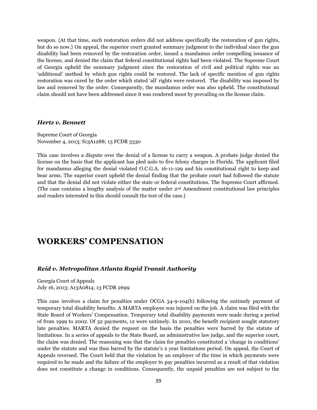weapon. {At that time, such restoration orders did not address specifically the restoration of gun rights, but do so now.} On appeal, the superior court granted summary judgment to the individual since the gun disability had been removed by the restoration order, issued a mandamus order compelling issuance of the license, and denied the claim that federal constitutional rights had been violated. The Supreme Court of Georgia upheld the summary judgment since the restoration of civil and political rights was an 'additional' method by which gun rights could be restored. The lack of specific mention of gun rights restoration was cured by the order which stated 'all' rights were restored. The disability was imposed by law and removed by the order. Consequently, the mandamus order was also upheld. The constitutional claim should not have been addressed since it was rendered moot by prevailing on the license claim.

#### *Hertz v. Bennett*

Supreme Court of Georgia November 4, 2013; S13A1288; 13 FCDR 3330

This case involves a dispute over the denial of a license to carry a weapon. A probate judge denied the license on the basis that the applicant has pled nolo to five felony charges in Florida. The applicant filed for mandamus alleging the denial violated O.C.G.A. 16-11-129 and his constitutional right to keep and bear arms. The superior court upheld the denial finding that the probate court had followed the statute and that the denial did not violate either the state or federal constitutions. The Supreme Court affirmed. {The case contains a lengthy analysis of the matter under 2nd Amendment constitutional law principles and readers interested in this should consult the text of the case.}

### **WORKERS' COMPENSATION**

#### *Reid v. Metropolitan Atlanta Rapid Transit Authority*

Georgia Court of Appeals July 16, 2013; A13A0814; 13 FCDR 2699

This case involves a claim for penalties under OCGA 34-9-104(b) following the untimely payment of temporary total disability benefits. A MARTA employee was injured on the job. A claim was filed with the State Board of Workers' Compensation. Temporary total disability payments were made during a period of from 1999 to 2002. Of 32 payments, 12 were untimely. In 2010, the benefit recipient sought statutory late penalties. MARTA denied the request on the basis the penalties were barred by the statute of limitations. In a series of appeals to the State Board, an administrative law judge, and the superior court, the claim was denied. The reasoning was that the claim for penalties constituted a 'change in conditions' under the statute and was thus barred by the statute's 2 year limitations period. On appeal, the Court of Appeals reversed. The Court held that the violation by an employer of the time in which payments were required to be made and the failure of the employer to pay penalties incurred as a result of that violation does not constitute a change in conditions. Consequently, the unpaid penalties are not subject to the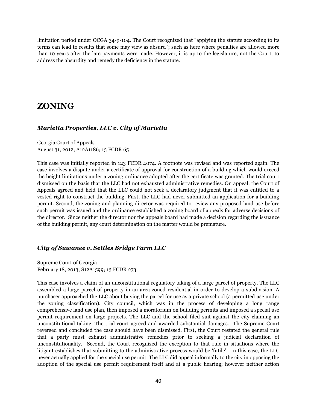limitation period under OCGA 34-9-104. The Court recognized that "applying the statute according to its terms can lead to results that some may view as absurd"; such as here where penalties are allowed more than 10 years after the late payments were made. However, it is up to the legislature, not the Court, to address the absurdity and remedy the deficiency in the statute.

# **ZONING**

#### *Marietta Properties, LLC v. City of Marietta*

Georgia Court of Appeals August 31, 2012; A12A1186; 13 FCDR 65

This case was initially reported in 123 FCDR 4074. A footnote was revised and was reported again. The case involves a dispute under a certificate of approval for construction of a building which would exceed the height limitations under a zoning ordinance adopted after the certificate was granted. The trial court dismissed on the basis that the LLC had not exhausted administrative remedies. On appeal, the Court of Appeals agreed and held that the LLC could not seek a declaratory judgment that it was entitled to a vested right to construct the building. First, the LLC had never submitted an application for a building permit. Second, the zoning and planning director was required to review any proposed land use before such permit was issued and the ordinance established a zoning board of appeals for adverse decisions of the director. Since neither the director nor the appeals board had made a decision regarding the issuance of the building permit, any court determination on the matter would be premature.

#### *City of Suwanee v. Settles Bridge Farm LLC*

Supreme Court of Georgia February 18, 2013; S12A1599; 13 FCDR 273

This case involves a claim of an unconstitutional regulatory taking of a large parcel of property. The LLC assembled a large parcel of property in an area zoned residential in order to develop a subdivision. A purchaser approached the LLC about buying the parcel for use as a private school (a permitted use under the zoning classification). City council, which was in the process of developing a long range comprehensive land use plan, then imposed a moratorium on building permits and imposed a special use permit requirement on large projects. The LLC and the school filed suit against the city claiming an unconstitutional taking. The trial court agreed and awarded substantial damages. The Supreme Court reversed and concluded the case should have been dismissed. First, the Court restated the general rule that a party must exhaust administrative remedies prior to seeking a judicial declaration of unconstitutionality. Second, the Court recognized the exception to that rule in situations where the litigant establishes that submitting to the administrative process would be 'futile'. In this case, the LLC never actually applied for the special use permit. The LLC did appeal informally to the city in opposing the adoption of the special use permit requirement itself and at a public hearing; however neither action